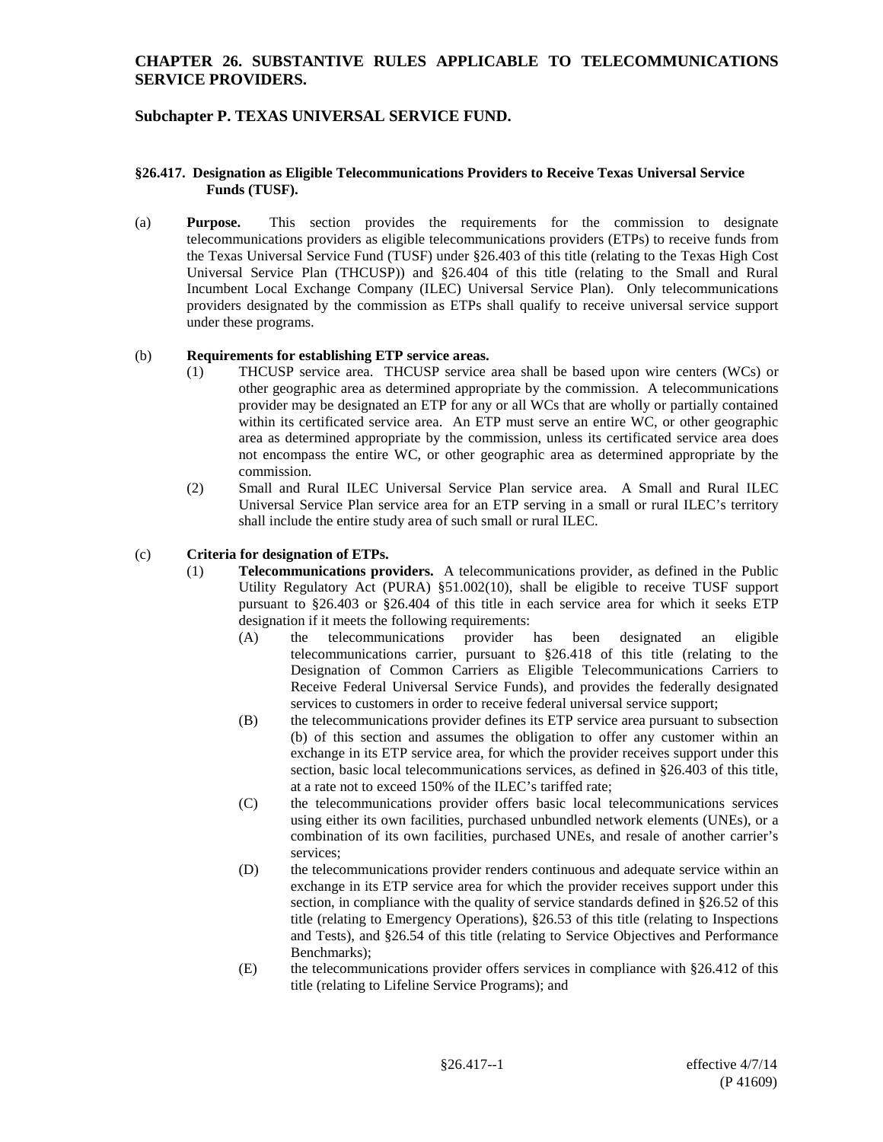# **Subchapter P. TEXAS UNIVERSAL SERVICE FUND.**

#### **§26.417. Designation as Eligible Telecommunications Providers to Receive Texas Universal Service Funds (TUSF).**

(a) **Purpose.** This section provides the requirements for the commission to designate telecommunications providers as eligible telecommunications providers (ETPs) to receive funds from the Texas Universal Service Fund (TUSF) under §26.403 of this title (relating to the Texas High Cost Universal Service Plan (THCUSP)) and §26.404 of this title (relating to the Small and Rural Incumbent Local Exchange Company (ILEC) Universal Service Plan). Only telecommunications providers designated by the commission as ETPs shall qualify to receive universal service support under these programs.

### (b) **Requirements for establishing ETP service areas.**

- (1) THCUSP service area. THCUSP service area shall be based upon wire centers (WCs) or other geographic area as determined appropriate by the commission. A telecommunications provider may be designated an ETP for any or all WCs that are wholly or partially contained within its certificated service area. An ETP must serve an entire WC, or other geographic area as determined appropriate by the commission, unless its certificated service area does not encompass the entire WC, or other geographic area as determined appropriate by the commission.
- (2) Small and Rural ILEC Universal Service Plan service area. A Small and Rural ILEC Universal Service Plan service area for an ETP serving in a small or rural ILEC's territory shall include the entire study area of such small or rural ILEC.

### (c) **Criteria for designation of ETPs.**

- (1) **Telecommunications providers.** A telecommunications provider, as defined in the Public Utility Regulatory Act (PURA) §51.002(10), shall be eligible to receive TUSF support pursuant to §26.403 or §26.404 of this title in each service area for which it seeks ETP designation if it meets the following requirements:
	- (A) the telecommunications provider has been designated an eligible telecommunications carrier, pursuant to §26.418 of this title (relating to the Designation of Common Carriers as Eligible Telecommunications Carriers to Receive Federal Universal Service Funds), and provides the federally designated services to customers in order to receive federal universal service support;
	- (B) the telecommunications provider defines its ETP service area pursuant to subsection (b) of this section and assumes the obligation to offer any customer within an exchange in its ETP service area, for which the provider receives support under this section, basic local telecommunications services, as defined in §26.403 of this title, at a rate not to exceed 150% of the ILEC's tariffed rate;
	- (C) the telecommunications provider offers basic local telecommunications services using either its own facilities, purchased unbundled network elements (UNEs), or a combination of its own facilities, purchased UNEs, and resale of another carrier's services;
	- (D) the telecommunications provider renders continuous and adequate service within an exchange in its ETP service area for which the provider receives support under this section, in compliance with the quality of service standards defined in §26.52 of this title (relating to Emergency Operations), §26.53 of this title (relating to Inspections and Tests), and §26.54 of this title (relating to Service Objectives and Performance Benchmarks);
	- (E) the telecommunications provider offers services in compliance with §26.412 of this title (relating to Lifeline Service Programs); and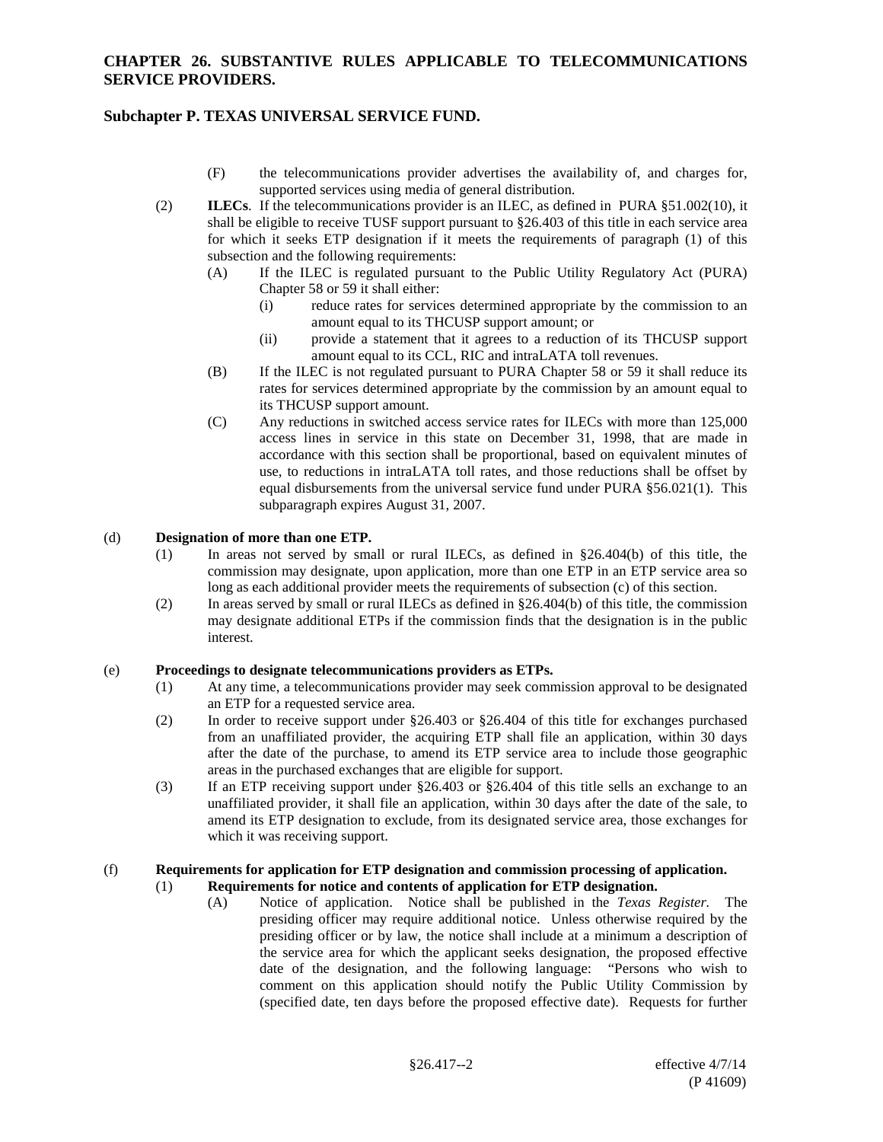## **Subchapter P. TEXAS UNIVERSAL SERVICE FUND.**

- (F) the telecommunications provider advertises the availability of, and charges for, supported services using media of general distribution.
- (2) **ILECs**. If the telecommunications provider is an ILEC, as defined in PURA §51.002(10), it shall be eligible to receive TUSF support pursuant to §26.403 of this title in each service area for which it seeks ETP designation if it meets the requirements of paragraph (1) of this subsection and the following requirements:
	- (A) If the ILEC is regulated pursuant to the Public Utility Regulatory Act (PURA) Chapter 58 or 59 it shall either:
		- (i) reduce rates for services determined appropriate by the commission to an amount equal to its THCUSP support amount; or
		- (ii) provide a statement that it agrees to a reduction of its THCUSP support amount equal to its CCL, RIC and intraLATA toll revenues.
	- (B) If the ILEC is not regulated pursuant to PURA Chapter 58 or 59 it shall reduce its rates for services determined appropriate by the commission by an amount equal to its THCUSP support amount.
	- (C) Any reductions in switched access service rates for ILECs with more than 125,000 access lines in service in this state on December 31, 1998, that are made in accordance with this section shall be proportional, based on equivalent minutes of use, to reductions in intraLATA toll rates, and those reductions shall be offset by equal disbursements from the universal service fund under PURA §56.021(1). This subparagraph expires August 31, 2007.

#### (d) **Designation of more than one ETP.**

- (1) In areas not served by small or rural ILECs, as defined in §26.404(b) of this title, the commission may designate, upon application, more than one ETP in an ETP service area so long as each additional provider meets the requirements of subsection (c) of this section.
- (2) In areas served by small or rural ILECs as defined in §26.404(b) of this title, the commission may designate additional ETPs if the commission finds that the designation is in the public interest.

#### (e) **Proceedings to designate telecommunications providers as ETPs.**

- (1) At any time, a telecommunications provider may seek commission approval to be designated an ETP for a requested service area.
- (2) In order to receive support under §26.403 or §26.404 of this title for exchanges purchased from an unaffiliated provider, the acquiring ETP shall file an application, within 30 days after the date of the purchase, to amend its ETP service area to include those geographic areas in the purchased exchanges that are eligible for support.
- (3) If an ETP receiving support under §26.403 or §26.404 of this title sells an exchange to an unaffiliated provider, it shall file an application, within 30 days after the date of the sale, to amend its ETP designation to exclude, from its designated service area, those exchanges for which it was receiving support.

### (f) **Requirements for application for ETP designation and commission processing of application.**

#### (1) **Requirements for notice and contents of application for ETP designation.**

(A) Notice of application. Notice shall be published in the *Texas Register.* The presiding officer may require additional notice. Unless otherwise required by the presiding officer or by law, the notice shall include at a minimum a description of the service area for which the applicant seeks designation, the proposed effective date of the designation, and the following language: "Persons who wish to comment on this application should notify the Public Utility Commission by (specified date, ten days before the proposed effective date). Requests for further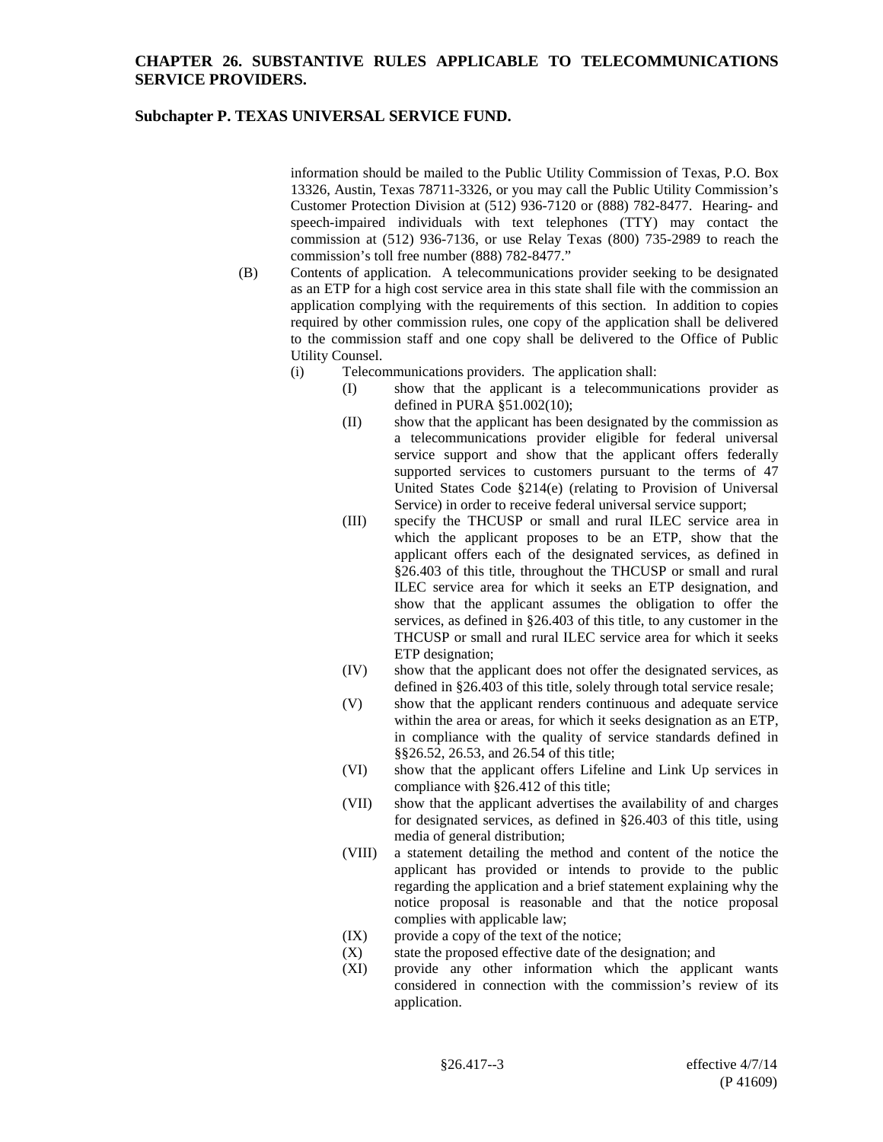## **Subchapter P. TEXAS UNIVERSAL SERVICE FUND.**

information should be mailed to the Public Utility Commission of Texas, P.O. Box 13326, Austin, Texas 78711-3326, or you may call the Public Utility Commission's Customer Protection Division at (512) 936-7120 or (888) 782-8477. Hearing- and speech-impaired individuals with text telephones (TTY) may contact the commission at (512) 936-7136, or use Relay Texas (800) 735-2989 to reach the commission's toll free number (888) 782-8477."

- (B) Contents of application. A telecommunications provider seeking to be designated as an ETP for a high cost service area in this state shall file with the commission an application complying with the requirements of this section. In addition to copies required by other commission rules, one copy of the application shall be delivered to the commission staff and one copy shall be delivered to the Office of Public Utility Counsel.
	- (i) Telecommunications providers.The application shall:
		- (I) show that the applicant is a telecommunications provider as defined in PURA §51.002(10);
		- (II) show that the applicant has been designated by the commission as a telecommunications provider eligible for federal universal service support and show that the applicant offers federally supported services to customers pursuant to the terms of 47 United States Code §214(e) (relating to Provision of Universal Service) in order to receive federal universal service support;
		- (III) specify the THCUSP or small and rural ILEC service area in which the applicant proposes to be an ETP, show that the applicant offers each of the designated services, as defined in §26.403 of this title, throughout the THCUSP or small and rural ILEC service area for which it seeks an ETP designation, and show that the applicant assumes the obligation to offer the services, as defined in §26.403 of this title, to any customer in the THCUSP or small and rural ILEC service area for which it seeks ETP designation;
		- (IV) show that the applicant does not offer the designated services, as defined in §26.403 of this title, solely through total service resale;
		- (V) show that the applicant renders continuous and adequate service within the area or areas, for which it seeks designation as an ETP, in compliance with the quality of service standards defined in §§26.52, 26.53, and 26.54 of this title;
		- (VI) show that the applicant offers Lifeline and Link Up services in compliance with §26.412 of this title;
		- (VII) show that the applicant advertises the availability of and charges for designated services, as defined in §26.403 of this title, using media of general distribution;
		- (VIII) a statement detailing the method and content of the notice the applicant has provided or intends to provide to the public regarding the application and a brief statement explaining why the notice proposal is reasonable and that the notice proposal complies with applicable law;
		- (IX) provide a copy of the text of the notice;
		- (X) state the proposed effective date of the designation; and (XI) provide any other information which the applica
		- provide any other information which the applicant wants considered in connection with the commission's review of its application.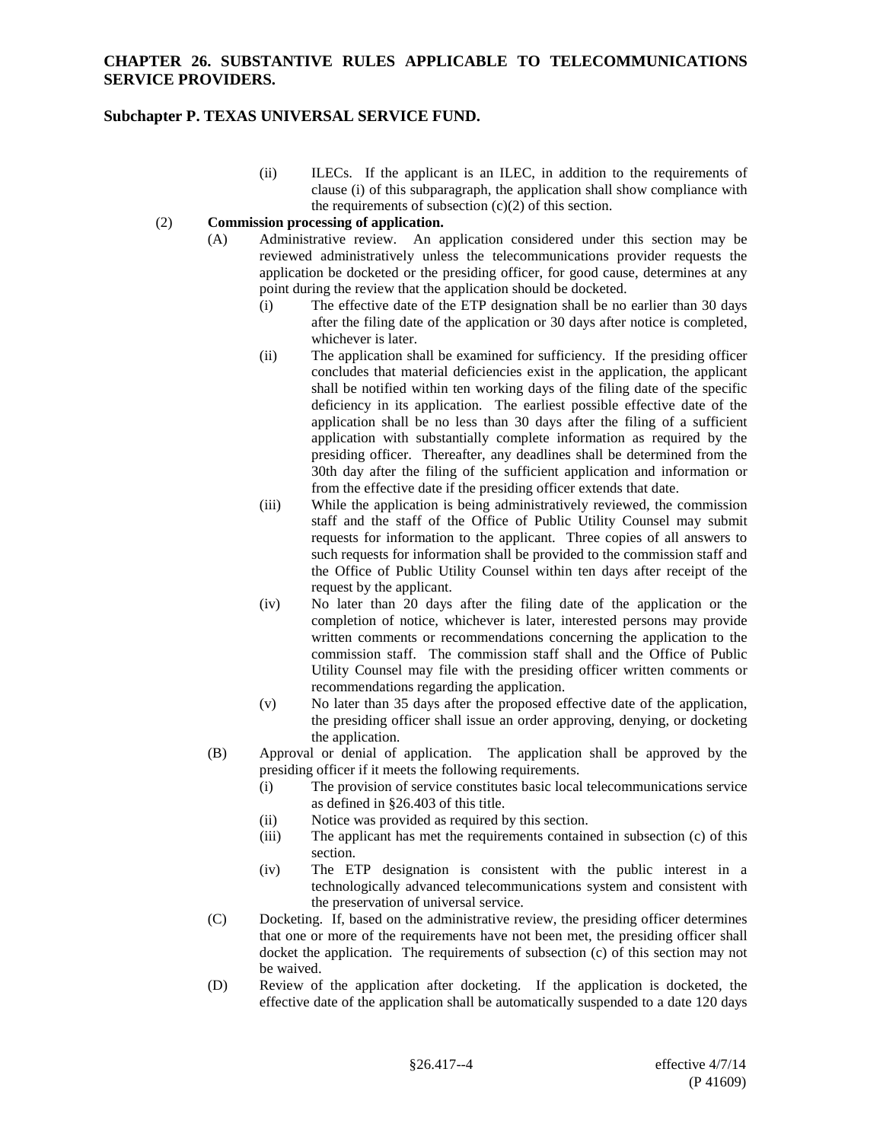## **Subchapter P. TEXAS UNIVERSAL SERVICE FUND.**

(ii) ILECs.If the applicant is an ILEC, in addition to the requirements of clause (i) of this subparagraph, the application shall show compliance with the requirements of subsection  $(c)(2)$  of this section.

### (2) **Commission processing of application.**

- (A) Administrative review. An application considered under this section may be reviewed administratively unless the telecommunications provider requests the application be docketed or the presiding officer, for good cause, determines at any point during the review that the application should be docketed.
	- (i) The effective date of the ETP designation shall be no earlier than 30 days after the filing date of the application or 30 days after notice is completed, whichever is later.
	- (ii) The application shall be examined for sufficiency. If the presiding officer concludes that material deficiencies exist in the application, the applicant shall be notified within ten working days of the filing date of the specific deficiency in its application. The earliest possible effective date of the application shall be no less than 30 days after the filing of a sufficient application with substantially complete information as required by the presiding officer. Thereafter, any deadlines shall be determined from the 30th day after the filing of the sufficient application and information or from the effective date if the presiding officer extends that date.
	- (iii) While the application is being administratively reviewed, the commission staff and the staff of the Office of Public Utility Counsel may submit requests for information to the applicant. Three copies of all answers to such requests for information shall be provided to the commission staff and the Office of Public Utility Counsel within ten days after receipt of the request by the applicant.
	- (iv) No later than 20 days after the filing date of the application or the completion of notice, whichever is later, interested persons may provide written comments or recommendations concerning the application to the commission staff. The commission staff shall and the Office of Public Utility Counsel may file with the presiding officer written comments or recommendations regarding the application.
	- (v) No later than 35 days after the proposed effective date of the application, the presiding officer shall issue an order approving, denying, or docketing the application.
- (B) Approval or denial of application. The application shall be approved by the presiding officer if it meets the following requirements.
	- (i) The provision of service constitutes basic local telecommunications service as defined in §26.403 of this title.
	- (ii) Notice was provided as required by this section.
	- (iii) The applicant has met the requirements contained in subsection (c) of this section.
	- (iv) The ETP designation is consistent with the public interest in a technologically advanced telecommunications system and consistent with the preservation of universal service.
- (C) Docketing. If, based on the administrative review, the presiding officer determines that one or more of the requirements have not been met, the presiding officer shall docket the application. The requirements of subsection (c) of this section may not be waived.
- (D) Review of the application after docketing. If the application is docketed, the effective date of the application shall be automatically suspended to a date 120 days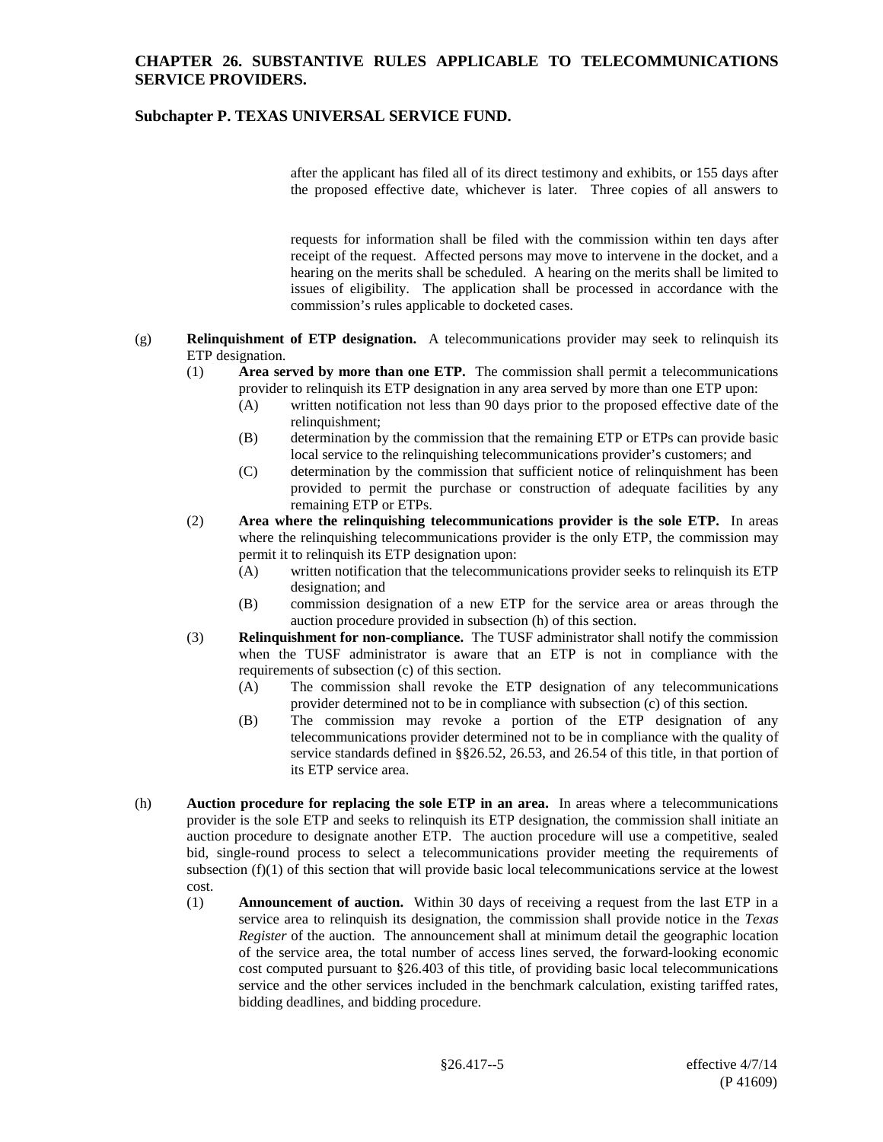# **Subchapter P. TEXAS UNIVERSAL SERVICE FUND.**

after the applicant has filed all of its direct testimony and exhibits, or 155 days after the proposed effective date, whichever is later. Three copies of all answers to

requests for information shall be filed with the commission within ten days after receipt of the request. Affected persons may move to intervene in the docket, and a hearing on the merits shall be scheduled. A hearing on the merits shall be limited to issues of eligibility. The application shall be processed in accordance with the commission's rules applicable to docketed cases.

- (g) **Relinquishment of ETP designation.** A telecommunications provider may seek to relinquish its ETP designation.
	- (1) **Area served by more than one ETP.** The commission shall permit a telecommunications provider to relinquish its ETP designation in any area served by more than one ETP upon:
		- (A) written notification not less than 90 days prior to the proposed effective date of the relinquishment;
		- (B) determination by the commission that the remaining ETP or ETPs can provide basic local service to the relinquishing telecommunications provider's customers; and
		- (C) determination by the commission that sufficient notice of relinquishment has been provided to permit the purchase or construction of adequate facilities by any remaining ETP or ETPs.
	- (2) **Area where the relinquishing telecommunications provider is the sole ETP.** In areas where the relinquishing telecommunications provider is the only ETP, the commission may permit it to relinquish its ETP designation upon:
		- (A) written notification that the telecommunications provider seeks to relinquish its ETP designation; and
		- (B) commission designation of a new ETP for the service area or areas through the auction procedure provided in subsection (h) of this section.
	- (3) **Relinquishment for non-compliance.** The TUSF administrator shall notify the commission when the TUSF administrator is aware that an ETP is not in compliance with the requirements of subsection (c) of this section.
		- (A) The commission shall revoke the ETP designation of any telecommunications provider determined not to be in compliance with subsection (c) of this section.
		- (B) The commission may revoke a portion of the ETP designation of any telecommunications provider determined not to be in compliance with the quality of service standards defined in §§26.52, 26.53, and 26.54 of this title, in that portion of its ETP service area.
- (h) **Auction procedure for replacing the sole ETP in an area.** In areas where a telecommunications provider is the sole ETP and seeks to relinquish its ETP designation, the commission shall initiate an auction procedure to designate another ETP. The auction procedure will use a competitive, sealed bid, single-round process to select a telecommunications provider meeting the requirements of subsection (f)(1) of this section that will provide basic local telecommunications service at the lowest cost.
	- (1) **Announcement of auction.** Within 30 days of receiving a request from the last ETP in a service area to relinquish its designation, the commission shall provide notice in the *Texas Register* of the auction. The announcement shall at minimum detail the geographic location of the service area, the total number of access lines served, the forward-looking economic cost computed pursuant to §26.403 of this title, of providing basic local telecommunications service and the other services included in the benchmark calculation, existing tariffed rates, bidding deadlines, and bidding procedure.